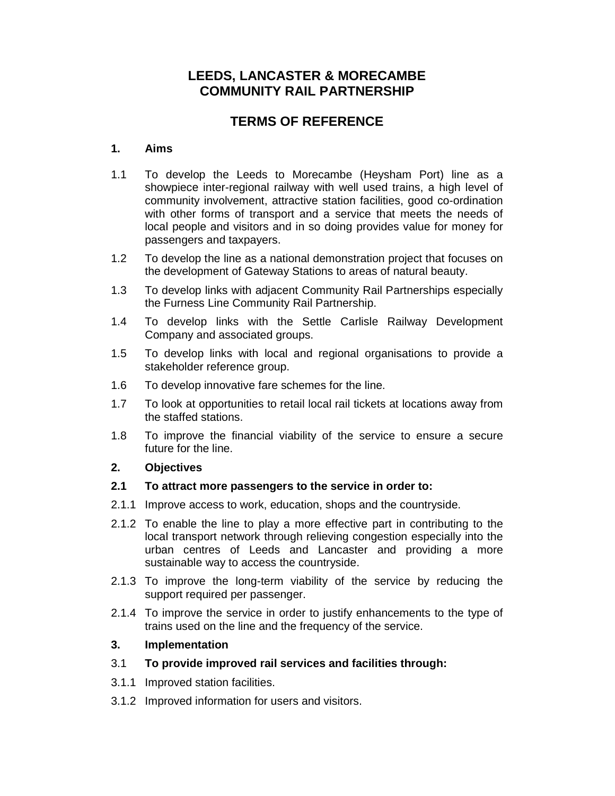# **LEEDS, LANCASTER & MORECAMBE COMMUNITY RAIL PARTNERSHIP**

# **TERMS OF REFERENCE**

### **1. Aims**

- 1.1 To develop the Leeds to Morecambe (Heysham Port) line as a showpiece inter-regional railway with well used trains, a high level of community involvement, attractive station facilities, good co-ordination with other forms of transport and a service that meets the needs of local people and visitors and in so doing provides value for money for passengers and taxpayers.
- 1.2 To develop the line as a national demonstration project that focuses on the development of Gateway Stations to areas of natural beauty.
- 1.3 To develop links with adjacent Community Rail Partnerships especially the Furness Line Community Rail Partnership.
- 1.4 To develop links with the Settle Carlisle Railway Development Company and associated groups.
- 1.5 To develop links with local and regional organisations to provide a stakeholder reference group.
- 1.6 To develop innovative fare schemes for the line.
- 1.7 To look at opportunities to retail local rail tickets at locations away from the staffed stations.
- 1.8 To improve the financial viability of the service to ensure a secure future for the line.

## **2. Objectives**

#### **2.1 To attract more passengers to the service in order to:**

- 2.1.1 Improve access to work, education, shops and the countryside.
- 2.1.2 To enable the line to play a more effective part in contributing to the local transport network through relieving congestion especially into the urban centres of Leeds and Lancaster and providing a more sustainable way to access the countryside.
- 2.1.3 To improve the long-term viability of the service by reducing the support required per passenger.
- 2.1.4 To improve the service in order to justify enhancements to the type of trains used on the line and the frequency of the service.

#### **3. Implementation**

- 3.1 **To provide improved rail services and facilities through:**
- 3.1.1 Improved station facilities.
- 3.1.2 Improved information for users and visitors.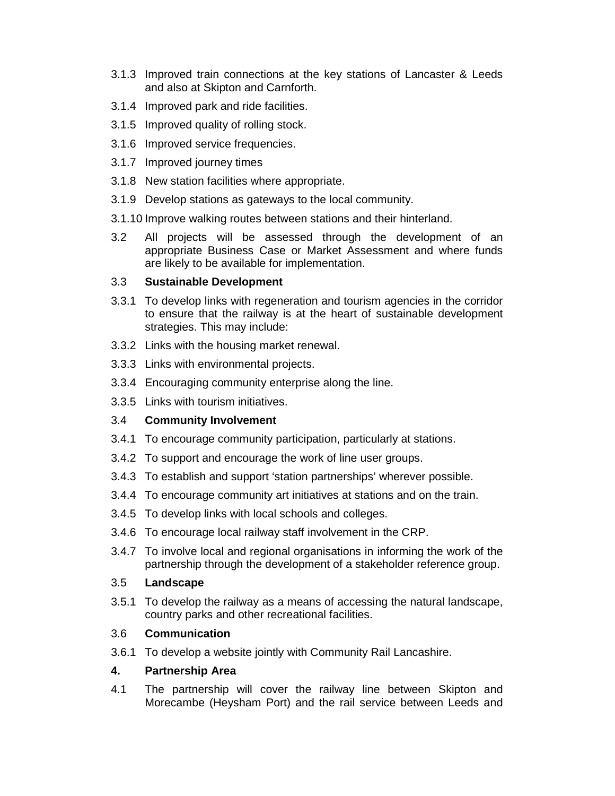- 3.1.3 Improved train connections at the key stations of Lancaster & Leeds and also at Skipton and Carnforth.
- 3.1.4 Improved park and ride facilities.
- 3.1.5 Improved quality of rolling stock.
- 3.1.6 Improved service frequencies.
- 3.1.7 Improved journey times
- 3.1.8 New station facilities where appropriate.
- 3.1.9 Develop stations as gateways to the local community.
- 3.1.10 Improve walking routes between stations and their hinterland.
- 3.2 All projects will be assessed through the development of an appropriate Business Case or Market Assessment and where funds are likely to be available for implementation.

### 3.3 **Sustainable Development**

- 3.3.1 To develop links with regeneration and tourism agencies in the corridor to ensure that the railway is at the heart of sustainable development strategies. This may include:
- 3.3.2 Links with the housing market renewal.
- 3.3.3 Links with environmental projects.
- 3.3.4 Encouraging community enterprise along the line.
- 3.3.5 Links with tourism initiatives.

## 3.4 **Community Involvement**

- 3.4.1 To encourage community participation, particularly at stations.
- 3.4.2 To support and encourage the work of line user groups.
- 3.4.3 To establish and support 'station partnerships' wherever possible.
- 3.4.4 To encourage community art initiatives at stations and on the train.
- 3.4.5 To develop links with local schools and colleges.
- 3.4.6 To encourage local railway staff involvement in the CRP.
- 3.4.7 To involve local and regional organisations in informing the work of the partnership through the development of a stakeholder reference group.

#### 3.5 **Landscape**

3.5.1 To develop the railway as a means of accessing the natural landscape, country parks and other recreational facilities.

## 3.6 **Communication**

3.6.1 To develop a website jointly with Community Rail Lancashire.

#### **4. Partnership Area**

4.1 The partnership will cover the railway line between Skipton and Morecambe (Heysham Port) and the rail service between Leeds and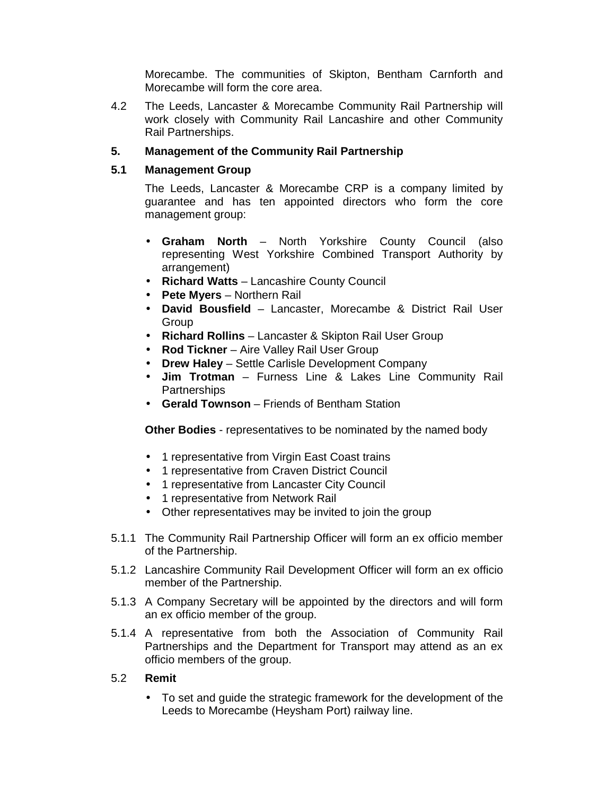Morecambe. The communities of Skipton, Bentham Carnforth and Morecambe will form the core area.

4.2 The Leeds, Lancaster & Morecambe Community Rail Partnership will work closely with Community Rail Lancashire and other Community Rail Partnerships.

## **5. Management of the Community Rail Partnership**

#### **5.1 Management Group**

The Leeds, Lancaster & Morecambe CRP is a company limited by guarantee and has ten appointed directors who form the core management group:

- **Graham North** North Yorkshire County Council (also representing West Yorkshire Combined Transport Authority by arrangement)
- **Richard Watts** Lancashire County Council
- **Pete Myers** Northern Rail
- **David Bousfield** Lancaster, Morecambe & District Rail User **Group**
- **Richard Rollins**  Lancaster & Skipton Rail User Group
- **Rod Tickner** Aire Valley Rail User Group
- **Drew Haley**  Settle Carlisle Development Company
- **Jim Trotman**  Furness Line & Lakes Line Community Rail **Partnerships**
- **Gerald Townson**  Friends of Bentham Station

**Other Bodies** - representatives to be nominated by the named body

- 1 representative from Virgin East Coast trains
- 1 representative from Craven District Council
- 1 representative from Lancaster City Council
- 1 representative from Network Rail
- Other representatives may be invited to join the group
- 5.1.1 The Community Rail Partnership Officer will form an ex officio member of the Partnership.
- 5.1.2 Lancashire Community Rail Development Officer will form an ex officio member of the Partnership.
- 5.1.3 A Company Secretary will be appointed by the directors and will form an ex officio member of the group.
- 5.1.4 A representative from both the Association of Community Rail Partnerships and the Department for Transport may attend as an ex officio members of the group.

#### 5.2 **Remit**

• To set and guide the strategic framework for the development of the Leeds to Morecambe (Heysham Port) railway line.